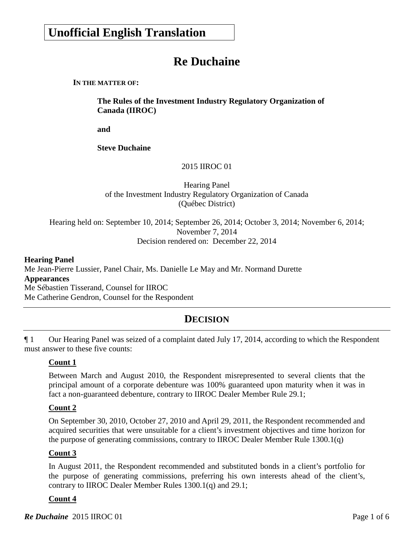# **Unofficial English Translation**

# **Re Duchaine**

**IN THE MATTER OF:**

**The Rules of the Investment Industry Regulatory Organization of Canada (IIROC)**

**and**

**Steve Duchaine** 

2015 IIROC 01

Hearing Panel of the Investment Industry Regulatory Organization of Canada (Québec District)

Hearing held on: September 10, 2014; September 26, 2014; October 3, 2014; November 6, 2014; November 7, 2014 Decision rendered on: December 22, 2014

#### **Hearing Panel**

Me Jean-Pierre Lussier, Panel Chair, Ms. Danielle Le May and Mr. Normand Durette **Appearances** Me Sébastien Tisserand, Counsel for IIROC Me Catherine Gendron, Counsel for the Respondent

## **DECISION**

¶ 1 Our Hearing Panel was seized of a complaint dated July 17, 2014, according to which the Respondent must answer to these five counts:

#### **Count 1**

Between March and August 2010, the Respondent misrepresented to several clients that the principal amount of a corporate debenture was 100% guaranteed upon maturity when it was in fact a non-guaranteed debenture, contrary to IIROC Dealer Member Rule 29.1;

#### **Count 2**

On September 30, 2010, October 27, 2010 and April 29, 2011, the Respondent recommended and acquired securities that were unsuitable for a client's investment objectives and time horizon for the purpose of generating commissions, contrary to IIROC Dealer Member Rule 1300.1(q)

#### **Count 3**

In August 2011, the Respondent recommended and substituted bonds in a client's portfolio for the purpose of generating commissions, preferring his own interests ahead of the client's, contrary to IIROC Dealer Member Rules 1300.1(q) and 29.1;

#### **Count 4**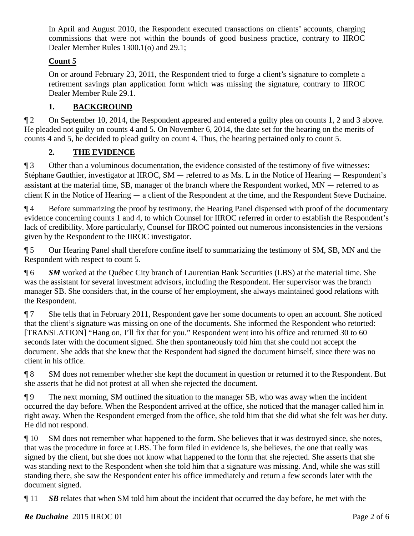In April and August 2010, the Respondent executed transactions on clients' accounts, charging commissions that were not within the bounds of good business practice, contrary to IIROC Dealer Member Rules 1300.1(o) and 29.1;

### **Count 5**

On or around February 23, 2011, the Respondent tried to forge a client's signature to complete a retirement savings plan application form which was missing the signature, contrary to IIROC Dealer Member Rule 29.1.

## **1. BACKGROUND**

¶ 2 On September 10, 2014, the Respondent appeared and entered a guilty plea on counts 1, 2 and 3 above. He pleaded not guilty on counts 4 and 5. On November 6, 2014, the date set for the hearing on the merits of counts 4 and 5, he decided to plead guilty on count 4. Thus, the hearing pertained only to count 5.

## **2. THE EVIDENCE**

¶ 3 Other than a voluminous documentation, the evidence consisted of the testimony of five witnesses: Stéphane Gauthier, investigator at IIROC, SM — referred to as Ms. L in the Notice of Hearing — Respondent's assistant at the material time, SB, manager of the branch where the Respondent worked, MN — referred to as client K in the Notice of Hearing — a client of the Respondent at the time, and the Respondent Steve Duchaine.

¶ 4 Before summarizing the proof by testimony, the Hearing Panel dispensed with proof of the documentary evidence concerning counts 1 and 4, to which Counsel for IIROC referred in order to establish the Respondent's lack of credibility. More particularly, Counsel for IIROC pointed out numerous inconsistencies in the versions given by the Respondent to the IIROC investigator.

¶ 5 Our Hearing Panel shall therefore confine itself to summarizing the testimony of SM, SB, MN and the Respondent with respect to count 5.

¶ 6 *SM* worked at the Québec City branch of Laurentian Bank Securities (LBS) at the material time. She was the assistant for several investment advisors, including the Respondent. Her supervisor was the branch manager SB. She considers that, in the course of her employment, she always maintained good relations with the Respondent.

¶ 7 She tells that in February 2011, Respondent gave her some documents to open an account. She noticed that the client's signature was missing on one of the documents. She informed the Respondent who retorted: [TRANSLATION] "Hang on, I'll fix that for you." Respondent went into his office and returned 30 to 60 seconds later with the document signed. She then spontaneously told him that she could not accept the document. She adds that she knew that the Respondent had signed the document himself, since there was no client in his office.

¶ 8 SM does not remember whether she kept the document in question or returned it to the Respondent. But she asserts that he did not protest at all when she rejected the document.

¶ 9 The next morning, SM outlined the situation to the manager SB, who was away when the incident occurred the day before. When the Respondent arrived at the office, she noticed that the manager called him in right away. When the Respondent emerged from the office, she told him that she did what she felt was her duty. He did not respond.

¶ 10 SM does not remember what happened to the form. She believes that it was destroyed since, she notes, that was the procedure in force at LBS. The form filed in evidence is, she believes, the one that really was signed by the client, but she does not know what happened to the form that she rejected. She asserts that she was standing next to the Respondent when she told him that a signature was missing. And, while she was still standing there, she saw the Respondent enter his office immediately and return a few seconds later with the document signed.

¶ 11 *SB* relates that when SM told him about the incident that occurred the day before, he met with the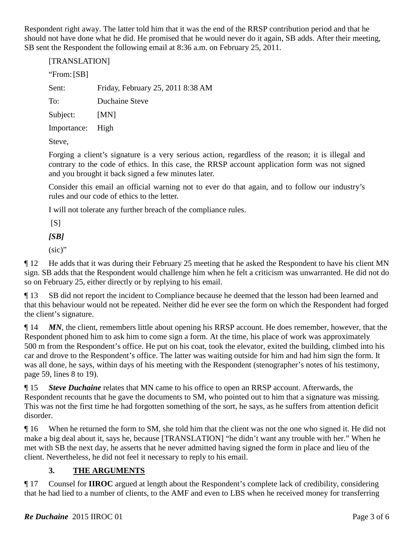Respondent right away. The latter told him that it was the end of the RRSP contribution period and that he should not have done what he did. He promised that he would never do it again, SB adds. After their meeting, SB sent the Respondent the following email at 8:36 a.m. on February 25, 2011.

| [TRANSLATION] |                                   |
|---------------|-----------------------------------|
| "From: $[SB]$ |                                   |
| Sent:         | Friday, February 25, 2011 8:38 AM |
| To:           | Duchaine Steve                    |
| Subject:      | [MN]                              |
| Importance:   | High                              |
| Steve.        |                                   |

Forging a client's signature is a very serious action, regardless of the reason; it is illegal and contrary to the code of ethics. In this case, the RRSP account application form was not signed and you brought it back signed a few minutes later.

Consider this email an official warning not to ever do that again, and to follow our industry's rules and our code of ethics to the letter.

I will not tolerate any further breach of the compliance rules.

 $[S]$ 

*[SB]*

(sic)"

¶ 12 He adds that it was during their February 25 meeting that he asked the Respondent to have his client MN sign. SB adds that the Respondent would challenge him when he felt a criticism was unwarranted. He did not do so on February 25, either directly or by replying to his email.

¶ 13 SB did not report the incident to Compliance because he deemed that the lesson had been learned and that this behaviour would not be repeated. Neither did he ever see the form on which the Respondent had forged the client's signature.

¶ 14 *MN*, the client, remembers little about opening his RRSP account. He does remember, however, that the Respondent phoned him to ask him to come sign a form. At the time, his place of work was approximately 500 m from the Respondent's office. He put on his coat, took the elevator, exited the building, climbed into his car and drove to the Respondent's office. The latter was waiting outside for him and had him sign the form. It was all done, he says, within days of his meeting with the Respondent (stenographer's notes of his testimony, page 59, lines 8 to 19).

¶ 15 *Steve Duchaine* relates that MN came to his office to open an RRSP account. Afterwards, the Respondent recounts that he gave the documents to SM, who pointed out to him that a signature was missing. This was not the first time he had forgotten something of the sort, he says, as he suffers from attention deficit disorder.

¶ 16 When he returned the form to SM, she told him that the client was not the one who signed it. He did not make a big deal about it, says he, because [TRANSLATION] "he didn't want any trouble with her." When he met with SB the next day, he asserts that he never admitted having signed the form in place and lieu of the client. Nevertheless, he did not feel it necessary to reply to his email.

## **3. THE ARGUMENTS**

¶ 17 Counsel for **IIROC** argued at length about the Respondent's complete lack of credibility, considering that he had lied to a number of clients, to the AMF and even to LBS when he received money for transferring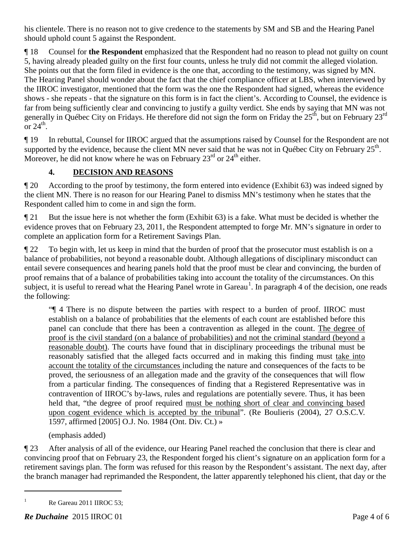his clientele. There is no reason not to give credence to the statements by SM and SB and the Hearing Panel should uphold count 5 against the Respondent.

¶ 18 Counsel for **the Respondent** emphasized that the Respondent had no reason to plead not guilty on count 5, having already pleaded guilty on the first four counts, unless he truly did not commit the alleged violation. She points out that the form filed in evidence is the one that, according to the testimony, was signed by MN. The Hearing Panel should wonder about the fact that the chief compliance officer at LBS, when interviewed by the IIROC investigator, mentioned that the form was the one the Respondent had signed, whereas the evidence shows - she repeats - that the signature on this form is in fact the client's. According to Counsel, the evidence is far from being sufficiently clear and convincing to justify a guilty verdict. She ends by saying that MN was not generally in Québec City on Fridays. He therefore did not sign the form on Friday the 25<sup>th</sup>, but on February 23<sup>rd</sup> or  $24^{\text{th}}$ .

¶ 19 In rebuttal, Counsel for IIROC argued that the assumptions raised by Counsel for the Respondent are not supported by the evidence, because the client MN never said that he was not in Québec City on February  $25<sup>th</sup>$ . Moreover, he did not know where he was on February  $23<sup>rd</sup>$  or  $24<sup>th</sup>$  either.

## **4. DECISION AND REASONS**

¶ 20 According to the proof by testimony, the form entered into evidence (Exhibit 63) was indeed signed by the client MN. There is no reason for our Hearing Panel to dismiss MN's testimony when he states that the Respondent called him to come in and sign the form.

¶ 21 But the issue here is not whether the form (Exhibit 63) is a fake. What must be decided is whether the evidence proves that on February 23, 2011, the Respondent attempted to forge Mr. MN's signature in order to complete an application form for a Retirement Savings Plan.

¶ 22 To begin with, let us keep in mind that the burden of proof that the prosecutor must establish is on a balance of probabilities, not beyond a reasonable doubt. Although allegations of disciplinary misconduct can entail severe consequences and hearing panels hold that the proof must be clear and convincing, the burden of proof remains that of a balance of probabilities taking into account the totality of the circumstances. On this subject, it is useful to reread what the Hearing Panel wrote in Gareau<sup>[1](#page-3-0)</sup>. In paragraph 4 of the decision, one reads the following:

"¶ 4 There is no dispute between the parties with respect to a burden of proof. IIROC must establish on a balance of probabilities that the elements of each count are established before this panel can conclude that there has been a contravention as alleged in the count. The degree of proof is the civil standard (on a balance of probabilities) and not the criminal standard (beyond a reasonable doubt). The courts have found that in disciplinary proceedings the tribunal must be reasonably satisfied that the alleged facts occurred and in making this finding must take into account the totality of the circumstances including the nature and consequences of the facts to be proved, the seriousness of an allegation made and the gravity of the consequences that will flow from a particular finding. The consequences of finding that a Registered Representative was in contravention of IIROC's by-laws, rules and regulations are potentially severe. Thus, it has been held that, "the degree of proof required must be nothing short of clear and convincing based upon cogent evidence which is accepted by the tribunal". (Re Boulieris (2004), 27 O.S.C.V. 1597, affirmed [2005] O.J. No. 1984 (Ont. Div. Ct.) »

(emphasis added)

¶ 23 After analysis of all of the evidence, our Hearing Panel reached the conclusion that there is clear and convincing proof that on February 23, the Respondent forged his client's signature on an application form for a retirement savings plan. The form was refused for this reason by the Respondent's assistant. The next day, after the branch manager had reprimanded the Respondent, the latter apparently telephoned his client, that day or the

 $\overline{a}$ 

<span id="page-3-0"></span><sup>&</sup>lt;sup>1</sup> Re Gareau 2011 IIROC 53;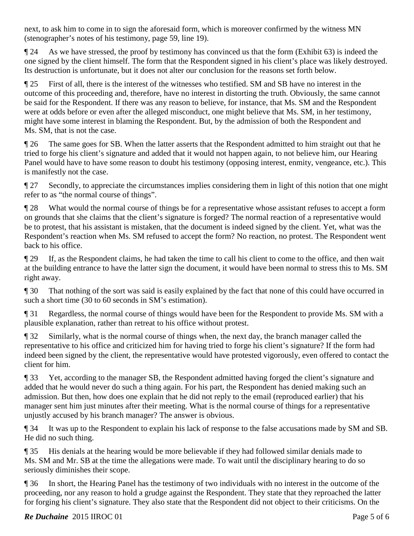next, to ask him to come in to sign the aforesaid form, which is moreover confirmed by the witness MN (stenographer's notes of his testimony, page 59, line 19).

¶ 24 As we have stressed, the proof by testimony has convinced us that the form (Exhibit 63) is indeed the one signed by the client himself. The form that the Respondent signed in his client's place was likely destroyed. Its destruction is unfortunate, but it does not alter our conclusion for the reasons set forth below.

¶ 25 First of all, there is the interest of the witnesses who testified. SM and SB have no interest in the outcome of this proceeding and, therefore, have no interest in distorting the truth. Obviously, the same cannot be said for the Respondent. If there was any reason to believe, for instance, that Ms. SM and the Respondent were at odds before or even after the alleged misconduct, one might believe that Ms. SM, in her testimony, might have some interest in blaming the Respondent. But, by the admission of both the Respondent and Ms. SM, that is not the case.

¶ 26 The same goes for SB. When the latter asserts that the Respondent admitted to him straight out that he tried to forge his client's signature and added that it would not happen again, to not believe him, our Hearing Panel would have to have some reason to doubt his testimony (opposing interest, enmity, vengeance, etc.). This is manifestly not the case.

¶ 27 Secondly, to appreciate the circumstances implies considering them in light of this notion that one might refer to as "the normal course of things".

¶ 28 What would the normal course of things be for a representative whose assistant refuses to accept a form on grounds that she claims that the client's signature is forged? The normal reaction of a representative would be to protest, that his assistant is mistaken, that the document is indeed signed by the client. Yet, what was the Respondent's reaction when Ms. SM refused to accept the form? No reaction, no protest. The Respondent went back to his office.

¶ 29 If, as the Respondent claims, he had taken the time to call his client to come to the office, and then wait at the building entrance to have the latter sign the document, it would have been normal to stress this to Ms. SM right away.

¶ 30 That nothing of the sort was said is easily explained by the fact that none of this could have occurred in such a short time (30 to 60 seconds in SM's estimation).

¶ 31 Regardless, the normal course of things would have been for the Respondent to provide Ms. SM with a plausible explanation, rather than retreat to his office without protest.

¶ 32 Similarly, what is the normal course of things when, the next day, the branch manager called the representative to his office and criticized him for having tried to forge his client's signature? If the form had indeed been signed by the client, the representative would have protested vigorously, even offered to contact the client for him.

¶ 33 Yet, according to the manager SB, the Respondent admitted having forged the client's signature and added that he would never do such a thing again. For his part, the Respondent has denied making such an admission. But then, how does one explain that he did not reply to the email (reproduced earlier) that his manager sent him just minutes after their meeting. What is the normal course of things for a representative unjustly accused by his branch manager? The answer is obvious.

¶ 34 It was up to the Respondent to explain his lack of response to the false accusations made by SM and SB. He did no such thing.

¶ 35 His denials at the hearing would be more believable if they had followed similar denials made to Ms. SM and Mr. SB at the time the allegations were made. To wait until the disciplinary hearing to do so seriously diminishes their scope.

¶ 36 In short, the Hearing Panel has the testimony of two individuals with no interest in the outcome of the proceeding, nor any reason to hold a grudge against the Respondent. They state that they reproached the latter for forging his client's signature. They also state that the Respondent did not object to their criticisms. On the